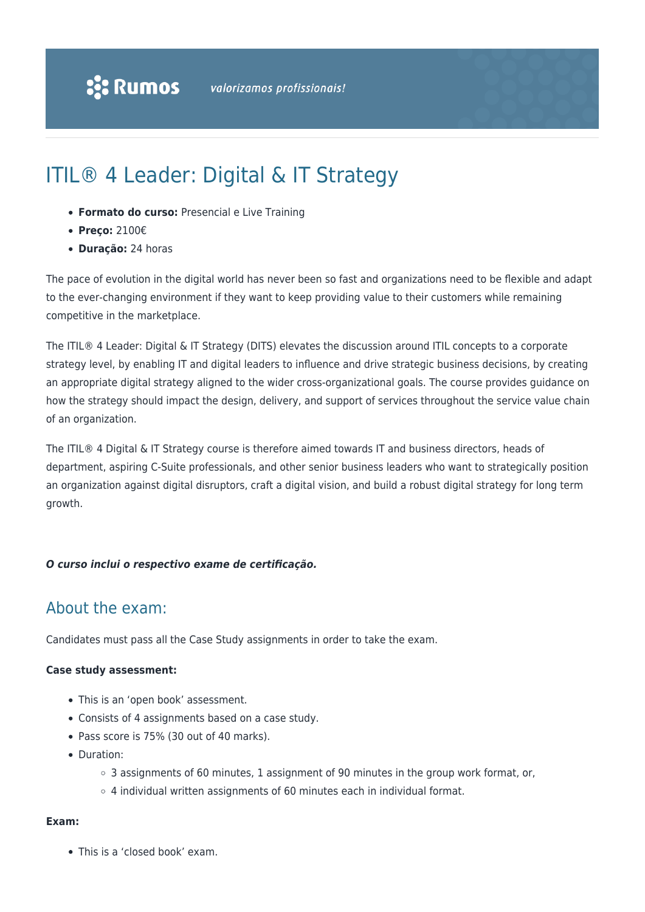# ITIL® 4 Leader: Digital & IT Strategy

- **Formato do curso:** Presencial e Live Training
- **Preço:** 2100€
- **Duração:** 24 horas

The pace of evolution in the digital world has never been so fast and organizations need to be flexible and adapt to the ever-changing environment if they want to keep providing value to their customers while remaining competitive in the marketplace.

The ITIL® 4 Leader: Digital & IT Strategy (DITS) elevates the discussion around ITIL concepts to a corporate strategy level, by enabling IT and digital leaders to influence and drive strategic business decisions, by creating an appropriate digital strategy aligned to the wider cross-organizational goals. The course provides guidance on how the strategy should impact the design, delivery, and support of services throughout the service value chain of an organization.

The ITIL® 4 Digital & IT Strategy course is therefore aimed towards IT and business directors, heads of department, aspiring C-Suite professionals, and other senior business leaders who want to strategically position an organization against digital disruptors, craft a digital vision, and build a robust digital strategy for long term growth.

#### *O curso inclui o respectivo exame de certificação.*

## About the exam:

Candidates must pass all the Case Study assignments in order to take the exam.

#### **Case study assessment:**

- This is an 'open book' assessment.
- Consists of 4 assignments based on a case study.
- Pass score is 75% (30 out of 40 marks).
- Duration:
	- $\circ$  3 assignments of 60 minutes, 1 assignment of 90 minutes in the group work format, or,
	- $\circ$  4 individual written assignments of 60 minutes each in individual format.

#### **Exam:**

This is a 'closed book' exam.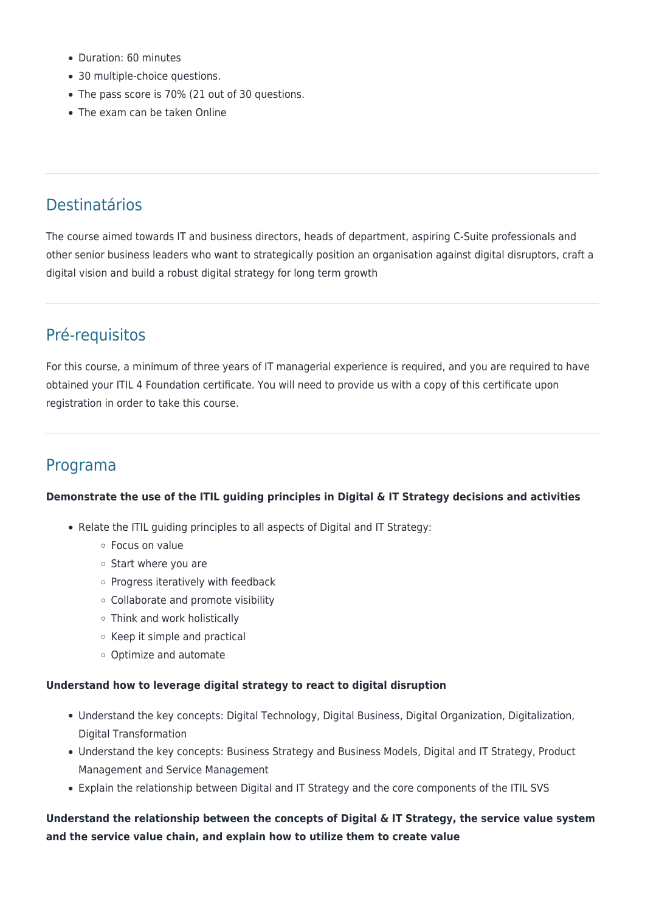- Duration: 60 minutes
- 30 multiple-choice questions.
- The pass score is 70% (21 out of 30 questions.
- The exam can be taken Online

# Destinatários

The course aimed towards IT and business directors, heads of department, aspiring C-Suite professionals and other senior business leaders who want to strategically position an organisation against digital disruptors, craft a digital vision and build a robust digital strategy for long term growth

# Pré-requisitos

For this course, a minimum of three years of IT managerial experience is required, and you are required to have obtained your ITIL 4 Foundation certificate. You will need to provide us with a copy of this certificate upon registration in order to take this course.

# Programa

#### **Demonstrate the use of the ITIL guiding principles in Digital & IT Strategy decisions and activities**

- Relate the ITIL guiding principles to all aspects of Digital and IT Strategy:
	- Focus on value
	- o Start where you are
	- $\circ$  Progress iteratively with feedback
	- Collaborate and promote visibility
	- Think and work holistically
	- $\circ$  Keep it simple and practical
	- Optimize and automate

#### **Understand how to leverage digital strategy to react to digital disruption**

- Understand the key concepts: Digital Technology, Digital Business, Digital Organization, Digitalization, Digital Transformation
- Understand the key concepts: Business Strategy and Business Models, Digital and IT Strategy, Product Management and Service Management
- Explain the relationship between Digital and IT Strategy and the core components of the ITIL SVS

### **Understand the relationship between the concepts of Digital & IT Strategy, the service value system and the service value chain, and explain how to utilize them to create value**